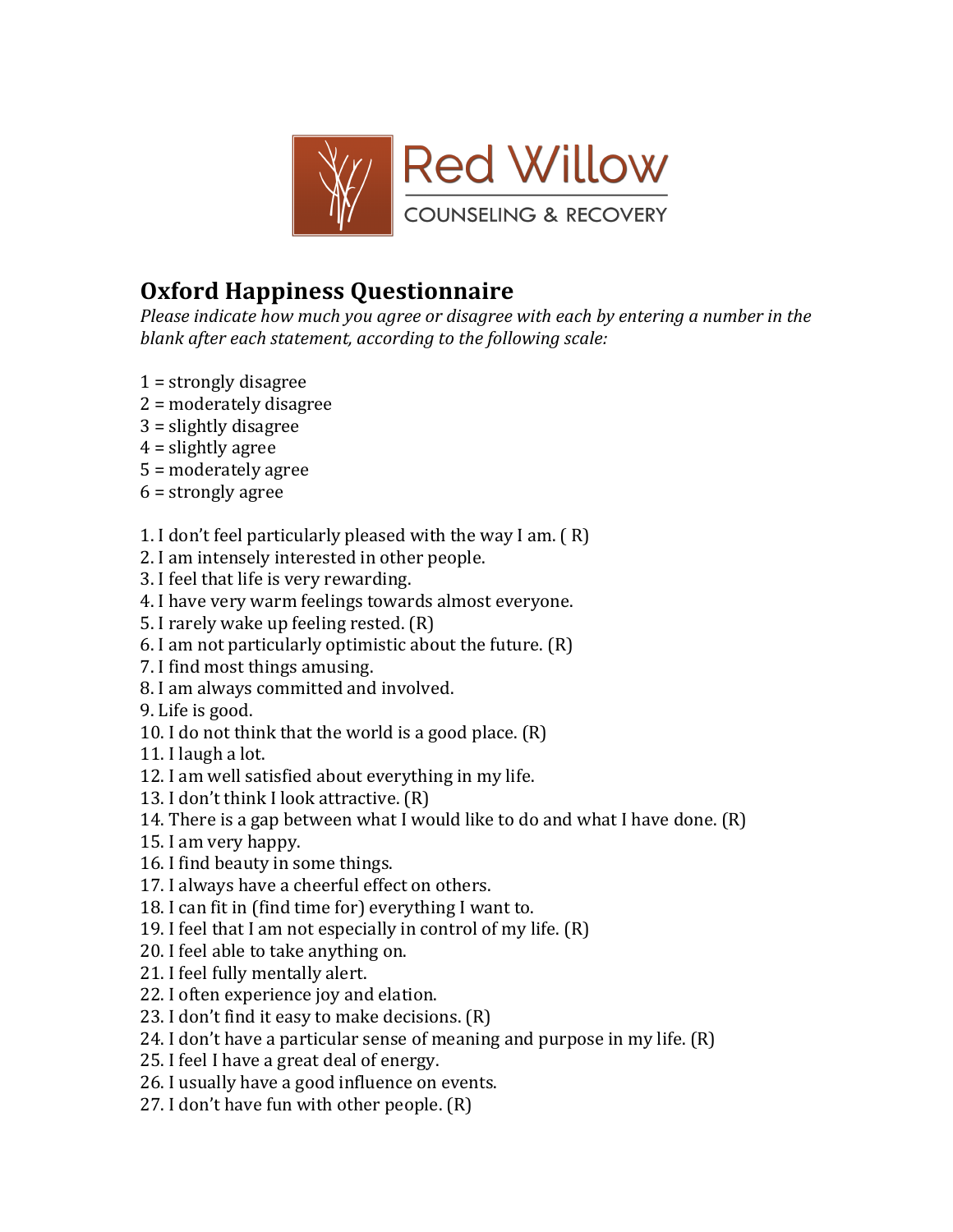

## **Oxford Happiness Questionnaire'**

*Please indicate how much you agree or disagree with each by entering a number in the* blank after each statement, according to the following scale:

- $1 =$  strongly disagree
- $2$  = moderately disagree
- $3$  = slightly disagree
- $4$  = slightly agree
- $5$  = moderately agree
- $6$  = strongly agree
- 1. I don't feel particularly pleased with the way I am.  $(R)$
- 2. I am intensely interested in other people.
- 3. I feel that life is very rewarding.
- 4. I have very warm feelings towards almost everyone.
- 5. I rarely wake up feeling rested. (R)
- 6. I am not particularly optimistic about the future.  $(R)$
- 7. I find most things amusing.
- 8. I am always committed and involved.
- 9. Life is good.
- 10. I do not think that the world is a good place.  $(R)$
- 11. I laugh a lot.
- 12. I am well satisfied about everything in my life.
- 13. I don't think I look attractive. (R)
- 14. There is a gap between what I would like to do and what I have done.  $(R)$
- 15. I am very happy.
- 16. I find beauty in some things.
- 17. I always have a cheerful effect on others.
- 18. I can fit in (find time for) everything I want to.
- 19. I feel that I am not especially in control of my life.  $(R)$
- 20. I feel able to take anything on.
- 21. I feel fully mentally alert.
- 22. I often experience joy and elation.
- 23. I don't find it easy to make decisions.  $(R)$
- 24. I don't have a particular sense of meaning and purpose in my life.  $(R)$
- 25. I feel I have a great deal of energy.
- 26. I usually have a good influence on events.
- 27. I don't have fun with other people.  $(R)$